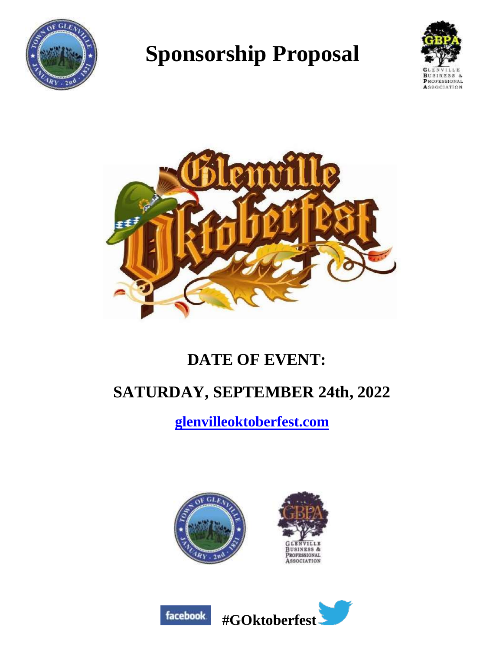

# **Sponsorship Proposal**





## **DATE OF EVENT:**

## **SATURDAY, SEPTEMBER 24th, 2022**

**[glenvilleoktoberfest.com](http://www.glenvilleoktoberfest.com/)**



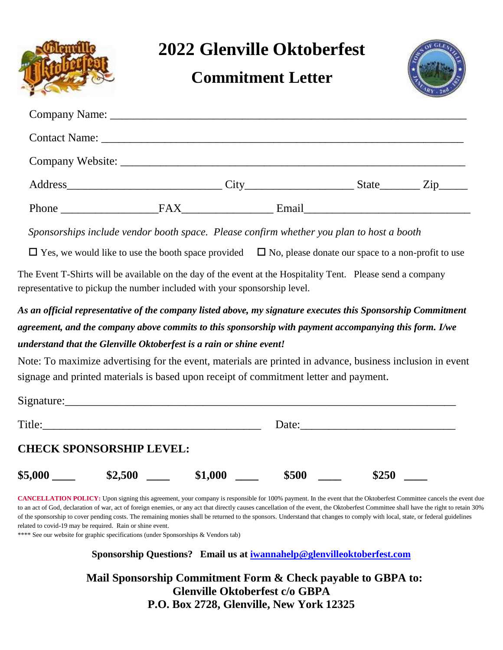**2022 Glenville Oktoberfest**

### **Commitment Letter**



|                                            |     |       | State Zip |
|--------------------------------------------|-----|-------|-----------|
| Phone<br><u> 1980 - Alexandria III.a (</u> | FAX | Email |           |

 *Sponsorships include vendor booth space. Please confirm whether you plan to host a booth*

 $\Box$  Yes, we would like to use the booth space provided  $\Box$  No, please donate our space to a non-profit to use

The Event T-Shirts will be available on the day of the event at the Hospitality Tent. Please send a company representative to pickup the number included with your sponsorship level.

*As an official representative of the company listed above, my signature executes this Sponsorship Commitment agreement, and the company above commits to this sponsorship with payment accompanying this form. I/we understand that the Glenville Oktoberfest is a rain or shine event!*

Note: To maximize advertising for the event, materials are printed in advance, business inclusion in event signage and printed materials is based upon receipt of commitment letter and payment.

| Signature: |                                 |         |       |       |  |
|------------|---------------------------------|---------|-------|-------|--|
| Title:     |                                 |         | Date: |       |  |
|            | <b>CHECK SPONSORSHIP LEVEL:</b> |         |       |       |  |
| \$5,000    | \$2,500                         | \$1,000 | \$500 | \$250 |  |

**CANCELLATION POLICY:** Upon signing this agreement, your company is responsible for 100% payment. In the event that the Oktoberfest Committee cancels the event due to an act of God, declaration of war, act of foreign enemies, or any act that directly causes cancellation of the event, the Oktoberfest Committee shall have the right to retain 30% of the sponsorship to cover pending costs. The remaining monies shall be returned to the sponsors. Understand that changes to comply with local, state, or federal guidelines related to covid-19 may be required. Rain or shine event.

\*\*\*\* See our website for graphic specifications (under Sponsorships & Vendors tab)

**Sponsorship Questions? Email us at [iwannahelp@glenvilleoktoberfest.com](mailto:miwannahelp@glenvilleoktoberfest.com)**

 **Mail Sponsorship Commitment Form & Check payable to GBPA to: Glenville Oktoberfest c/o GBPA P.O. Box 2728, Glenville, New York 12325**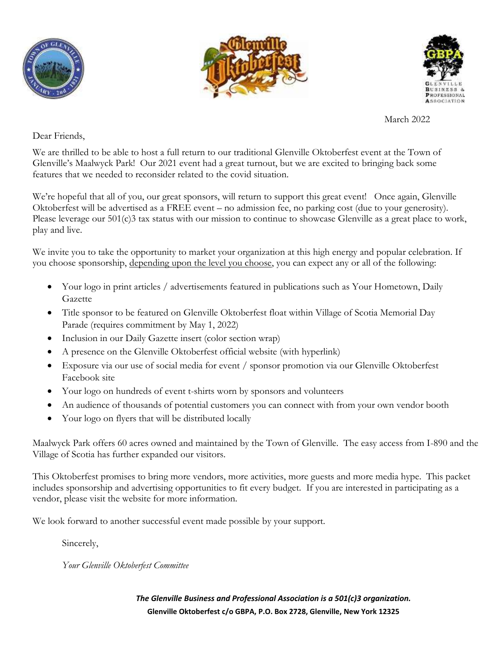





March 2022

Dear Friends,

We are thrilled to be able to host a full return to our traditional Glenville Oktoberfest event at the Town of Glenville's Maalwyck Park! Our 2021 event had a great turnout, but we are excited to bringing back some features that we needed to reconsider related to the covid situation.

We're hopeful that all of you, our great sponsors, will return to support this great event! Once again, Glenville Oktoberfest will be advertised as a FREE event – no admission fee, no parking cost (due to your generosity). Please leverage our 501(c)3 tax status with our mission to continue to showcase Glenville as a great place to work, play and live.

We invite you to take the opportunity to market your organization at this high energy and popular celebration. If you choose sponsorship, depending upon the level you choose, you can expect any or all of the following:

- Your logo in print articles / advertisements featured in publications such as Your Hometown, Daily Gazette
- Title sponsor to be featured on Glenville Oktoberfest float within Village of Scotia Memorial Day Parade (requires commitment by May 1, 2022)
- Inclusion in our Daily Gazette insert (color section wrap)
- A presence on the Glenville Oktoberfest official website (with hyperlink)
- Exposure via our use of social media for event / sponsor promotion via our Glenville Oktoberfest Facebook site
- Your logo on hundreds of event t-shirts worn by sponsors and volunteers
- An audience of thousands of potential customers you can connect with from your own vendor booth
- Your logo on flyers that will be distributed locally

Maalwyck Park offers 60 acres owned and maintained by the Town of Glenville. The easy access from I-890 and the Village of Scotia has further expanded our visitors.

This Oktoberfest promises to bring more vendors, more activities, more guests and more media hype. This packet includes sponsorship and advertising opportunities to fit every budget. If you are interested in participating as a vendor, please visit the website for more information.

We look forward to another successful event made possible by your support.

Sincerely,

*Your Glenville Oktoberfest Committee*

*The Glenville Business and Professional Association is a 501(c)3 organization.* **Glenville Oktoberfest c/o GBPA, P.O. Box 2728, Glenville, New York 12325**